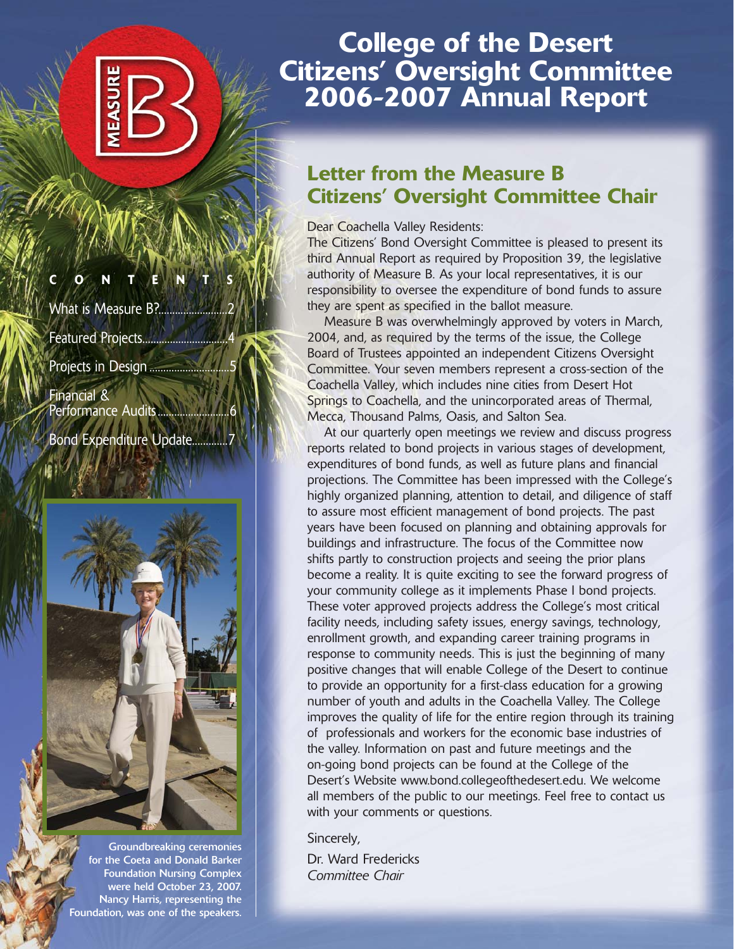**CONTENTS**

What is Measure B?..................

Featured Projects...

Projects in Design ............

Financial & Performance Audits...

Bond Expenditure Update...



Groundbreaking ceremonies for the Coeta and Donald Barker Foundation Nursing Complex were held October 23, 2007. Nancy Harris, representing the Foundation, was one of the speakers.

# **College of the Desert Citizens' Oversight Committee 2006-2007 Annual Report**

# **Letter from the Measure B Citizens' Oversight Committee Chair**

Dear Coachella Valley Residents:

The Citizens' Bond Oversight Committee is pleased to present its third Annual Report as required by Proposition 39, the legislative authority of Measure B. As your local representatives, it is our responsibility to oversee the expenditure of bond funds to assure they are spent as specified in the ballot measure.

Measure B was overwhelmingly approved by voters in March, 2004, and, as required by the terms of the issue, the College Board of Trustees appointed an independent Citizens Oversight Committee. Your seven members represent a cross-section of the Coachella Valley, which includes nine cities from Desert Hot Springs to Coachella, and the unincorporated areas of Thermal, Mecca, Thousand Palms, Oasis, and Salton Sea.

At our quarterly open meetings we review and discuss progress reports related to bond projects in various stages of development, expenditures of bond funds, as well as future plans and financial projections. The Committee has been impressed with the College's highly organized planning, attention to detail, and diligence of staff to assure most efficient management of bond projects. The past years have been focused on planning and obtaining approvals for buildings and infrastructure. The focus of the Committee now shifts partly to construction projects and seeing the prior plans become a reality. It is quite exciting to see the forward progress of your community college as it implements Phase I bond projects. These voter approved projects address the College's most critical facility needs, including safety issues, energy savings, technology, enrollment growth, and expanding career training programs in response to community needs. This is just the beginning of many positive changes that will enable College of the Desert to continue to provide an opportunity for a first-class education for a growing number of youth and adults in the Coachella Valley. The College improves the quality of life for the entire region through its training of professionals and workers for the economic base industries of the valley. Information on past and future meetings and the on-going bond projects can be found at the College of the Desert's Website www.bond.collegeofthedesert.edu. We welcome all members of the public to our meetings. Feel free to contact us with your comments or questions.

Sincerely,

Dr. Ward Fredericks *Committee Chair*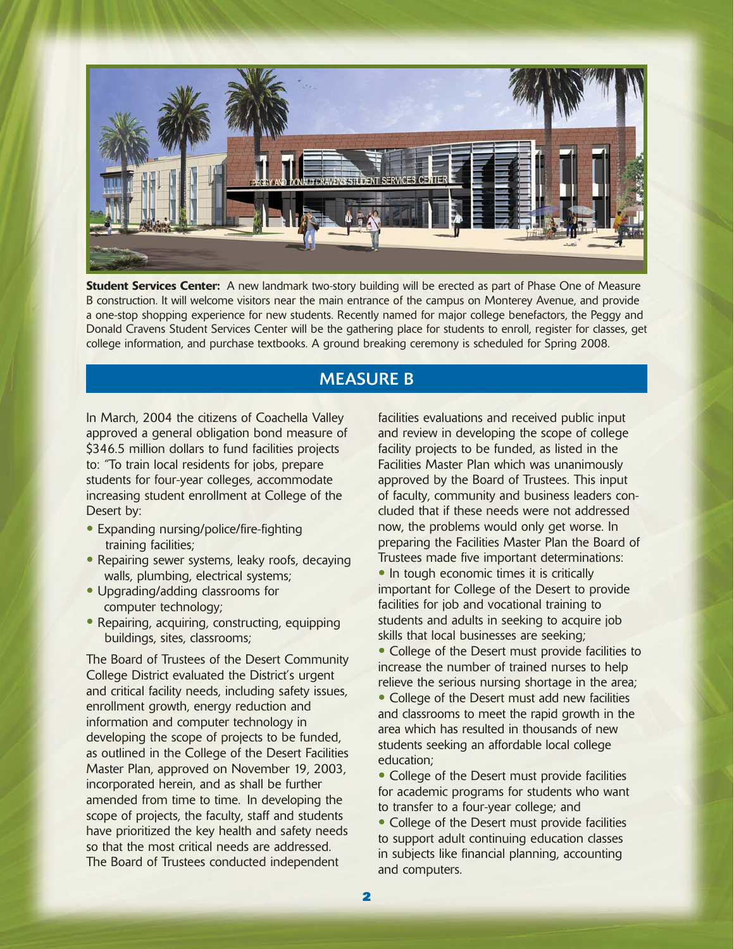

**Student Services Center:** A new landmark two-story building will be erected as part of Phase One of Measure B construction. It will welcome visitors near the main entrance of the campus on Monterey Avenue, and provide a one-stop shopping experience for new students. Recently named for major college benefactors, the Peggy and Donald Cravens Student Services Center will be the gathering place for students to enroll, register for classes, get college information, and purchase textbooks. A ground breaking ceremony is scheduled for Spring 2008.

### MEASURE B

In March, 2004 the citizens of Coachella Valley approved a general obligation bond measure of \$346.5 million dollars to fund facilities projects to: "To train local residents for jobs, prepare students for four-year colleges, accommodate increasing student enrollment at College of the Desert by:

- Expanding nursing/police/fire-fighting training facilities;
- Repairing sewer systems, leaky roofs, decaying walls, plumbing, electrical systems;
- Upgrading/adding classrooms for computer technology;
- Repairing, acquiring, constructing, equipping buildings, sites, classrooms;

The Board of Trustees of the Desert Community College District evaluated the District's urgent and critical facility needs, including safety issues, enrollment growth, energy reduction and information and computer technology in developing the scope of projects to be funded, as outlined in the College of the Desert Facilities Master Plan, approved on November 19, 2003, incorporated herein, and as shall be further amended from time to time. In developing the scope of projects, the faculty, staff and students have prioritized the key health and safety needs so that the most critical needs are addressed. The Board of Trustees conducted independent

facilities evaluations and received public input and review in developing the scope of college facility projects to be funded, as listed in the Facilities Master Plan which was unanimously approved by the Board of Trustees. This input of faculty, community and business leaders concluded that if these needs were not addressed now, the problems would only get worse. In preparing the Facilities Master Plan the Board of Trustees made five important determinations: • In tough economic times it is critically important for College of the Desert to provide facilities for job and vocational training to students and adults in seeking to acquire job skills that local businesses are seeking;

• College of the Desert must provide facilities to increase the number of trained nurses to help relieve the serious nursing shortage in the area;

• College of the Desert must add new facilities and classrooms to meet the rapid growth in the area which has resulted in thousands of new students seeking an affordable local college education;

• College of the Desert must provide facilities for academic programs for students who want to transfer to a four-year college; and

• College of the Desert must provide facilities to support adult continuing education classes in subjects like financial planning, accounting and computers.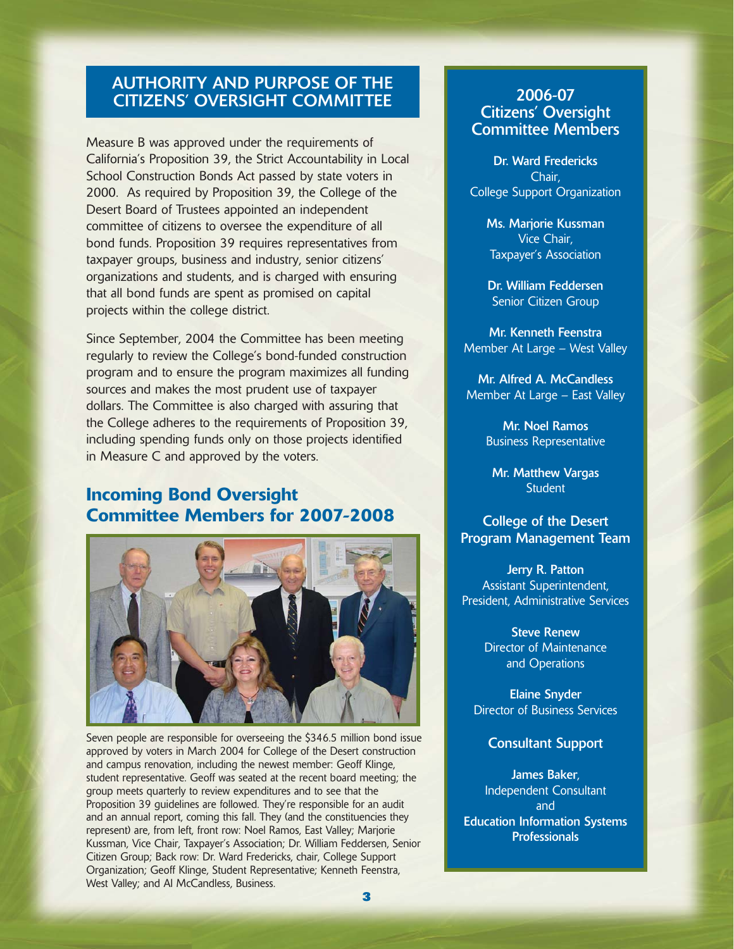## AUTHORITY AND PURPOSE OF THE CITIZENS' OVERSIGHT COMMITTEE

Measure B was approved under the requirements of California's Proposition 39, the Strict Accountability in Local School Construction Bonds Act passed by state voters in 2000. As required by Proposition 39, the College of the Desert Board of Trustees appointed an independent committee of citizens to oversee the expenditure of all bond funds. Proposition 39 requires representatives from taxpayer groups, business and industry, senior citizens' organizations and students, and is charged with ensuring that all bond funds are spent as promised on capital projects within the college district.

Since September, 2004 the Committee has been meeting regularly to review the College's bond-funded construction program and to ensure the program maximizes all funding sources and makes the most prudent use of taxpayer dollars. The Committee is also charged with assuring that the College adheres to the requirements of Proposition 39, including spending funds only on those projects identified in Measure C and approved by the voters.

# **Incoming Bond Oversight Committee Members for 2007-2008**



Seven people are responsible for overseeing the \$346.5 million bond issue approved by voters in March 2004 for College of the Desert construction and campus renovation, including the newest member: Geoff Klinge, student representative. Geoff was seated at the recent board meeting; the group meets quarterly to review expenditures and to see that the Proposition 39 guidelines are followed. They're responsible for an audit and an annual report, coming this fall. They (and the constituencies they represent) are, from left, front row: Noel Ramos, East Valley; Marjorie Kussman, Vice Chair, Taxpayer's Association; Dr. William Feddersen, Senior Citizen Group; Back row: Dr. Ward Fredericks, chair, College Support Organization; Geoff Klinge, Student Representative; Kenneth Feenstra, West Valley; and Al McCandless, Business.

### 2006-07 Citizens' Oversight Committee Members

Dr. Ward Fredericks Chair, College Support Organization

> Ms. Marjorie Kussman Vice Chair, Taxpayer's Association

Dr. William Feddersen Senior Citizen Group

Mr. Kenneth Feenstra Member At Large – West Valley

Mr. Alfred A. McCandless Member At Large – East Valley

> Mr. Noel Ramos Business Representative

Mr. Matthew Vargas **Student** 

#### College of the Desert Program Management Team

Jerry R. Patton Assistant Superintendent, President, Administrative Services

> Steve Renew Director of Maintenance and Operations

Elaine Snyder Director of Business Services

Consultant Support

James Baker, Independent Consultant and Education Information Systems **Professionals**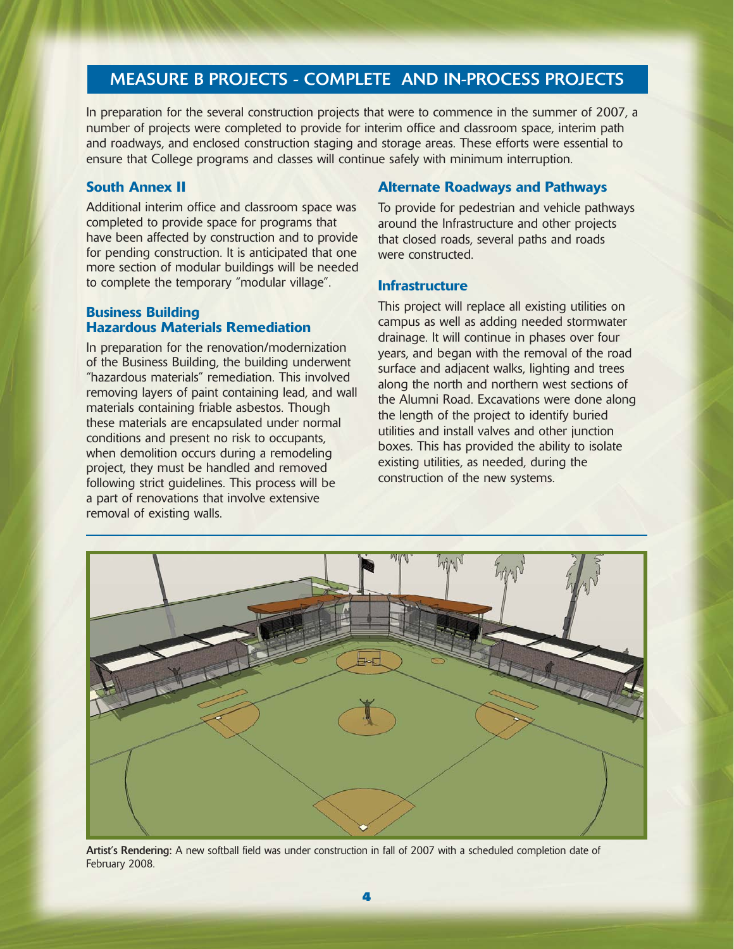# MEASURE B PROJECTS - COMPLETE AND IN-PROCESS PROJECTS

In preparation for the several construction projects that were to commence in the summer of 2007, a number of projects were completed to provide for interim office and classroom space, interim path and roadways, and enclosed construction staging and storage areas. These efforts were essential to ensure that College programs and classes will continue safely with minimum interruption.

#### **South Annex II**

Additional interim office and classroom space was completed to provide space for programs that have been affected by construction and to provide for pending construction. It is anticipated that one more section of modular buildings will be needed to complete the temporary "modular village".

#### **Business Building Hazardous Materials Remediation**

In preparation for the renovation/modernization of the Business Building, the building underwent "hazardous materials" remediation. This involved removing layers of paint containing lead, and wall materials containing friable asbestos. Though these materials are encapsulated under normal conditions and present no risk to occupants, when demolition occurs during a remodeling project, they must be handled and removed following strict guidelines. This process will be a part of renovations that involve extensive removal of existing walls.

#### **Alternate Roadways and Pathways**

To provide for pedestrian and vehicle pathways around the Infrastructure and other projects that closed roads, several paths and roads were constructed.

#### **Infrastructure**

This project will replace all existing utilities on campus as well as adding needed stormwater drainage. It will continue in phases over four years, and began with the removal of the road surface and adjacent walks, lighting and trees along the north and northern west sections of the Alumni Road. Excavations were done along the length of the project to identify buried utilities and install valves and other junction boxes. This has provided the ability to isolate existing utilities, as needed, during the construction of the new systems.



Artist's Rendering: A new softball field was under construction in fall of 2007 with a scheduled completion date of February 2008.

**4**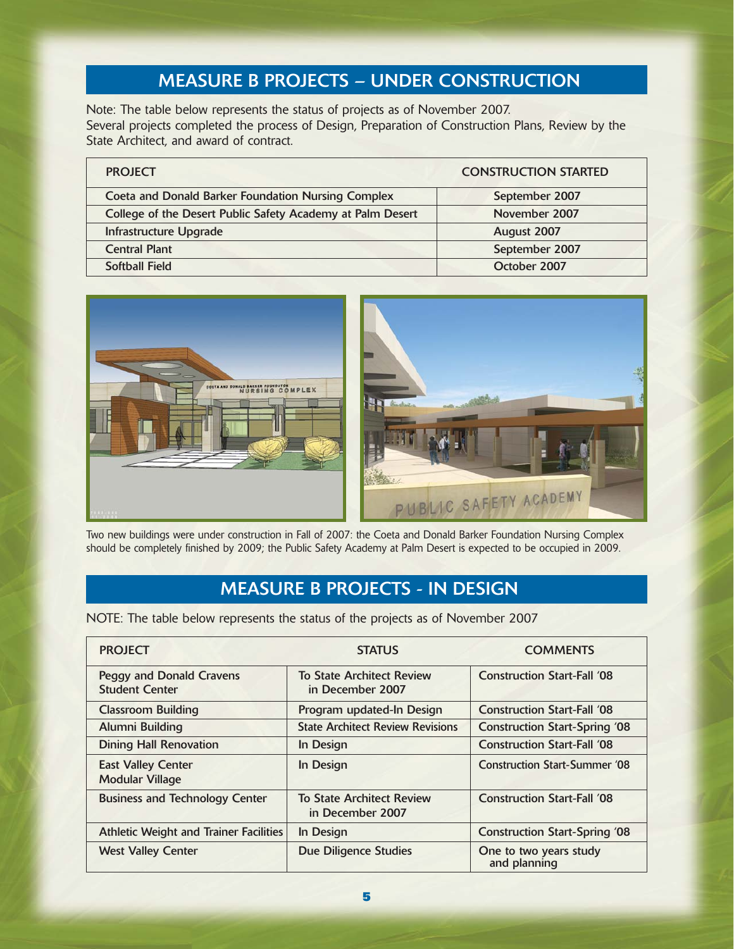# MEASURE B PROJECTS – UNDER CONSTRUCTION

Note: The table below represents the status of projects as of November 2007. Several projects completed the process of Design, Preparation of Construction Plans, Review by the State Architect, and award of contract.

| <b>PROJECT</b>                                             | <b>CONSTRUCTION STARTED</b> |
|------------------------------------------------------------|-----------------------------|
| <b>Coeta and Donald Barker Foundation Nursing Complex</b>  | September 2007              |
| College of the Desert Public Safety Academy at Palm Desert | November 2007               |
| Infrastructure Upgrade                                     | August 2007                 |
| <b>Central Plant</b>                                       | September 2007              |
| <b>Softball Field</b>                                      | October 2007                |



Two new buildings were under construction in Fall of 2007: the Coeta and Donald Barker Foundation Nursing Complex should be completely finished by 2009; the Public Safety Academy at Palm Desert is expected to be occupied in 2009.

# MEASURE B PROJECTS - IN DESIGN

NOTE: The table below represents the status of the projects as of November 2007

| <b>PROJECT</b>                                           | <b>STATUS</b>                                        | <b>COMMENTS</b>                        |  |
|----------------------------------------------------------|------------------------------------------------------|----------------------------------------|--|
| <b>Peggy and Donald Cravens</b><br><b>Student Center</b> | <b>To State Architect Review</b><br>in December 2007 | <b>Construction Start-Fall '08</b>     |  |
| <b>Classroom Building</b>                                | Program updated-In Design                            | <b>Construction Start-Fall '08</b>     |  |
| Alumni Building                                          | <b>State Architect Review Revisions</b>              | <b>Construction Start-Spring '08</b>   |  |
| <b>Dining Hall Renovation</b>                            | In Design                                            | <b>Construction Start-Fall '08</b>     |  |
| <b>East Valley Center</b><br><b>Modular Village</b>      | In Design                                            | <b>Construction Start-Summer '08</b>   |  |
| <b>Business and Technology Center</b>                    | <b>To State Architect Review</b><br>in December 2007 | <b>Construction Start-Fall '08</b>     |  |
| <b>Athletic Weight and Trainer Facilities</b>            | In Design                                            | <b>Construction Start-Spring '08</b>   |  |
| <b>West Valley Center</b>                                | Due Diligence Studies                                | One to two years study<br>and planning |  |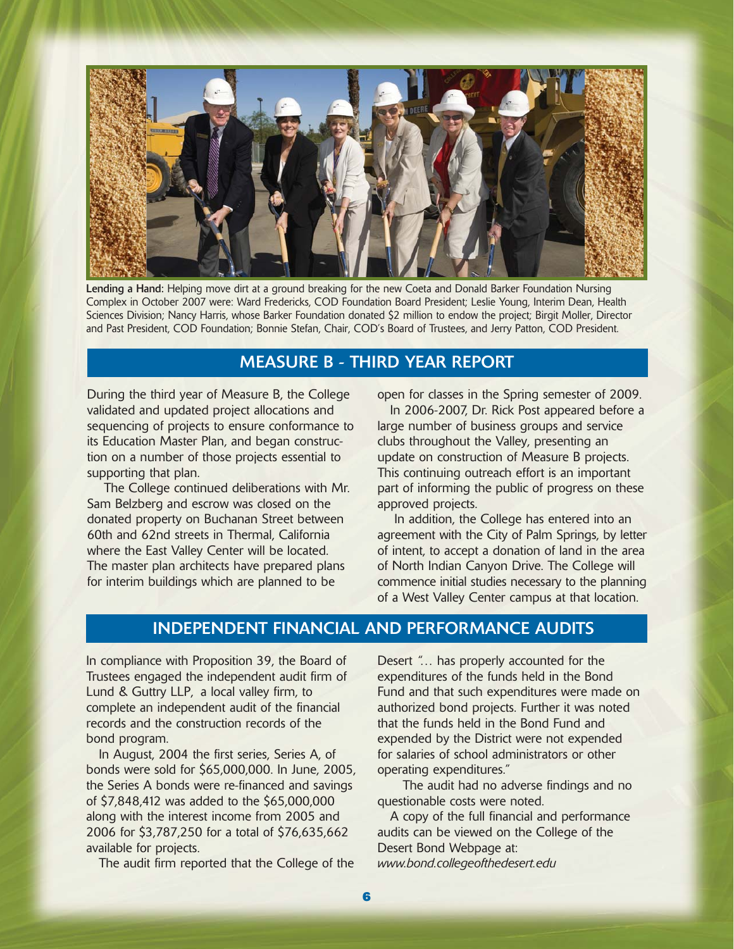

Lending a Hand: Helping move dirt at a ground breaking for the new Coeta and Donald Barker Foundation Nursing Complex in October 2007 were: Ward Fredericks, COD Foundation Board President; Leslie Young, Interim Dean, Health Sciences Division; Nancy Harris, whose Barker Foundation donated \$2 million to endow the project; Birgit Moller, Director and Past President, COD Foundation; Bonnie Stefan, Chair, COD's Board of Trustees, and Jerry Patton, COD President.

### MEASURE B - THIRD YEAR REPORT

During the third year of Measure B, the College validated and updated project allocations and sequencing of projects to ensure conformance to its Education Master Plan, and began construction on a number of those projects essential to supporting that plan.

The College continued deliberations with Mr. Sam Belzberg and escrow was closed on the donated property on Buchanan Street between 60th and 62nd streets in Thermal, California where the East Valley Center will be located. The master plan architects have prepared plans for interim buildings which are planned to be

open for classes in the Spring semester of 2009.

In 2006-2007, Dr. Rick Post appeared before a large number of business groups and service clubs throughout the Valley, presenting an update on construction of Measure B projects. This continuing outreach effort is an important part of informing the public of progress on these approved projects.

In addition, the College has entered into an agreement with the City of Palm Springs, by letter of intent, to accept a donation of land in the area of North Indian Canyon Drive. The College will commence initial studies necessary to the planning of a West Valley Center campus at that location.

### INDEPENDENT FINANCIAL AND PERFORMANCE AUDITS

In compliance with Proposition 39, the Board of Trustees engaged the independent audit firm of Lund & Guttry LLP, a local valley firm, to complete an independent audit of the financial records and the construction records of the bond program.

In August, 2004 the first series, Series A, of bonds were sold for \$65,000,000. In June, 2005, the Series A bonds were re-financed and savings of \$7,848,412 was added to the \$65,000,000 along with the interest income from 2005 and 2006 for \$3,787,250 for a total of \$76,635,662 available for projects.

The audit firm reported that the College of the

Desert "… has properly accounted for the expenditures of the funds held in the Bond Fund and that such expenditures were made on authorized bond projects. Further it was noted that the funds held in the Bond Fund and expended by the District were not expended for salaries of school administrators or other operating expenditures."

The audit had no adverse findings and no questionable costs were noted.

A copy of the full financial and performance audits can be viewed on the College of the Desert Bond Webpage at: *www.bond.collegeofthedesert.edu*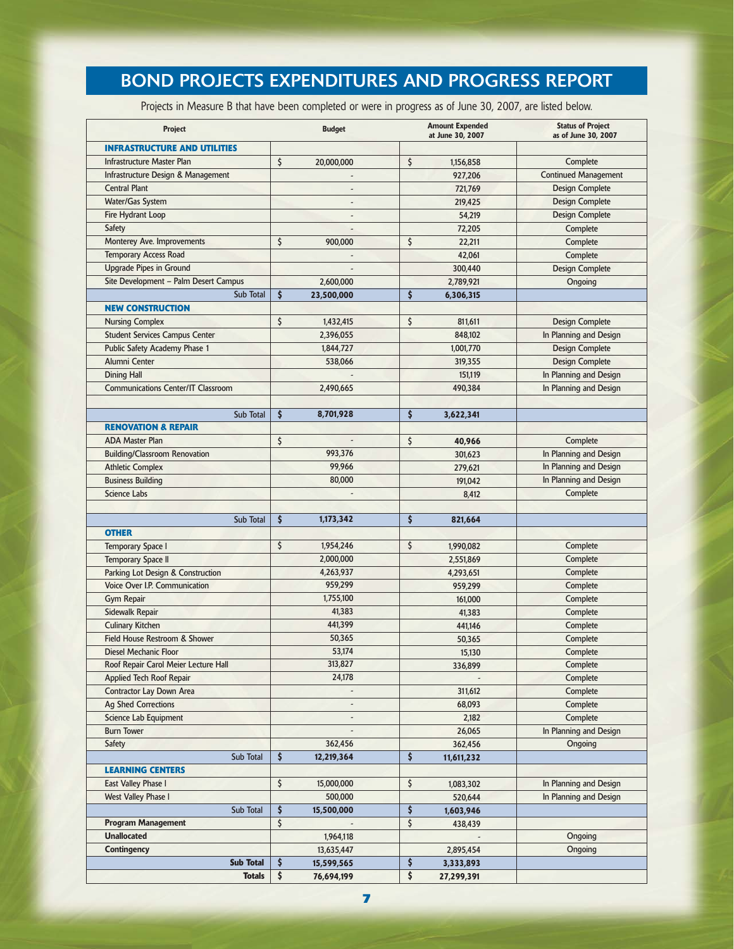# BOND PROJECTS EXPENDITURES AND PROGRESS REPORT

Projects in Measure B that have been completed or were in progress as of June 30, 2007, are listed below.

| Project                                                  | <b>Budget</b>     | <b>Amount Expended</b><br>at June 30, 2007 | <b>Status of Project</b><br>as of June 30, 2007 |
|----------------------------------------------------------|-------------------|--------------------------------------------|-------------------------------------------------|
| <b>INFRASTRUCTURE AND UTILITIES</b>                      |                   |                                            |                                                 |
| Infrastructure Master Plan                               | \$<br>20,000,000  | \$<br>1,156,858                            | Complete                                        |
| Infrastructure Design & Management                       |                   | 927,206                                    | <b>Continued Management</b>                     |
| <b>Central Plant</b>                                     |                   | 721,769                                    | <b>Design Complete</b>                          |
| Water/Gas System                                         | $\overline{a}$    | 219,425                                    | <b>Design Complete</b>                          |
| Fire Hydrant Loop                                        |                   | 54,219                                     | <b>Design Complete</b>                          |
| Safety                                                   |                   | 72,205                                     | Complete                                        |
| Monterey Ave. Improvements                               | \$<br>900,000     | \$<br>22,211                               | Complete                                        |
| <b>Temporary Access Road</b>                             |                   | 42,061                                     | Complete                                        |
| <b>Upgrade Pipes in Ground</b>                           |                   | 300,440                                    | <b>Design Complete</b>                          |
| Site Development - Palm Desert Campus                    | 2,600,000         | 2,789,921                                  | Ongoing                                         |
| Sub Total                                                | \$<br>23,500,000  | \$<br>6,306,315                            |                                                 |
| <b>NEW CONSTRUCTION</b>                                  |                   |                                            |                                                 |
| <b>Nursing Complex</b>                                   | \$<br>1,432,415   | \$<br>811,611                              | <b>Design Complete</b>                          |
| <b>Student Services Campus Center</b>                    | 2,396,055         | 848,102                                    | In Planning and Design                          |
| Public Safety Academy Phase 1                            | 1,844,727         | 1,001,770                                  | <b>Design Complete</b>                          |
| Alumni Center                                            | 538,066           | 319,355                                    | <b>Design Complete</b>                          |
| <b>Dining Hall</b>                                       |                   | 151,119                                    | In Planning and Design                          |
| <b>Communications Center/IT Classroom</b>                | 2,490,665         | 490,384                                    | In Planning and Design                          |
|                                                          |                   |                                            |                                                 |
| Sub Total                                                | \$<br>8,701,928   | \$<br>3,622,341                            |                                                 |
| <b>RENOVATION &amp; REPAIR</b>                           |                   |                                            |                                                 |
| <b>ADA Master Plan</b>                                   | \$                | \$<br>40,966                               | Complete                                        |
| <b>Building/Classroom Renovation</b>                     | 993.376           | 301,623                                    | In Planning and Design                          |
| <b>Athletic Complex</b>                                  | 99,966            | 279,621                                    | In Planning and Design                          |
| <b>Business Building</b>                                 | 80,000            | 191,042                                    | In Planning and Design                          |
| <b>Science Labs</b>                                      |                   | 8,412                                      | Complete                                        |
|                                                          |                   |                                            |                                                 |
| Sub Total                                                | \$<br>1,173,342   | \$<br>821,664                              |                                                 |
| <b>OTHER</b>                                             |                   |                                            |                                                 |
| <b>Temporary Space I</b>                                 | \$<br>1,954,246   | \$<br>1,990,082                            | Complete                                        |
| <b>Temporary Space II</b>                                | 2,000,000         | 2,551,869                                  | Complete                                        |
| Parking Lot Design & Construction                        | 4,263,937         | 4,293,651                                  | Complete                                        |
| Voice Over I.P. Communication                            | 959,299           | 959,299                                    | Complete                                        |
| <b>Gym Repair</b>                                        | 1,755,100         | 161,000                                    | Complete                                        |
| Sidewalk Repair                                          | 41,383<br>441,399 | 41,383                                     | Complete                                        |
| <b>Culinary Kitchen</b><br>Field House Restroom & Shower | 50,365            | 441,146                                    | Complete<br>Complete                            |
| Diesel Mechanic Floor                                    | 53,174            | 50,365                                     |                                                 |
| Roof Repair Carol Meier Lecture Hall                     | 313,827           | 15,130                                     | Complete                                        |
| <b>Applied Tech Roof Repair</b>                          | 24,178            | 336,899                                    | Complete<br>Complete                            |
| <b>Contractor Lay Down Area</b>                          |                   | 311,612                                    | Complete                                        |
| <b>Ag Shed Corrections</b>                               |                   | 68,093                                     | Complete                                        |
| Science Lab Equipment                                    |                   | 2,182                                      | Complete                                        |
| <b>Burn Tower</b>                                        |                   | 26,065                                     | In Planning and Design                          |
| <b>Safety</b>                                            | 362,456           | 362,456                                    | Ongoing                                         |
| Sub Total                                                | \$<br>12,219,364  | \$<br>11,611,232                           |                                                 |
| <b>LEARNING CENTERS</b>                                  |                   |                                            |                                                 |
| East Valley Phase I                                      | \$<br>15,000,000  | \$<br>1,083,302                            | In Planning and Design                          |
| <b>West Valley Phase I</b>                               | 500,000           | 520,644                                    | In Planning and Design                          |
| Sub Total                                                | \$<br>15,500,000  | \$<br>1,603,946                            |                                                 |
| <b>Program Management</b>                                | \$                | \$<br>438,439                              |                                                 |
| <b>Unallocated</b>                                       | 1,964,118         |                                            | Ongoing                                         |
| Contingency                                              | 13,635,447        | 2,895,454                                  | Ongoing                                         |
| <b>Sub Total</b>                                         | \$<br>15,599,565  | \$<br>3,333,893                            |                                                 |
| <b>Totals</b>                                            | \$<br>76,694,199  | \$<br>27,299,391                           |                                                 |